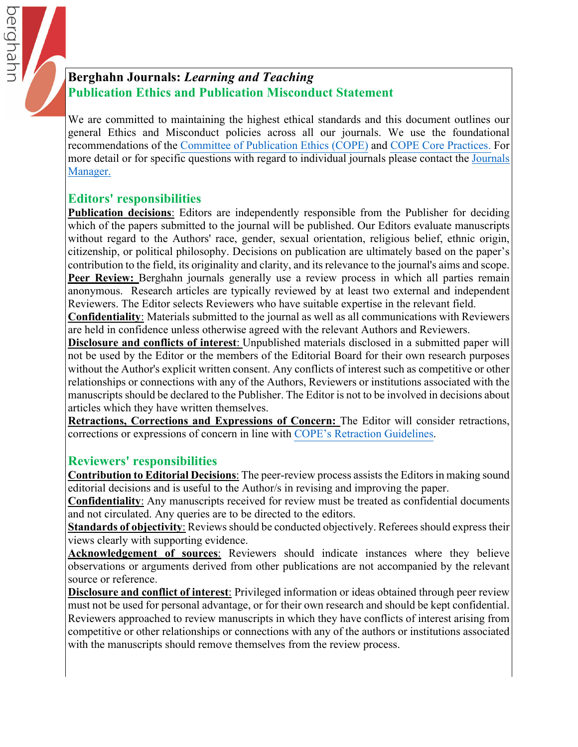# **Berghahn Journals:** *Learning and Teaching* **Publication Ethics and Publication Misconduct Statement**

We are committed to maintaining the highest ethical standards and this document outlines our general Ethics and Misconduct policies across all our journals. We use the foundational recommendations of the [Committee of Publication Ethics \(CO](https://publicationethics.org)PE) and [COPE Core Practi](https://publicationethics.org/files/editable-bean/COPE_Core_Practices_0.pdf)ces. For more detail or for specific questions with regard to individual j[ournals](https://www.berghahnjournals.com/page/contact-us) please contact the Journals Manager.

# **Editors' responsibilities**

berghahr

**Publication decisions:** Editors are independently responsible from the Publisher for deciding which of the papers submitted to the journal will be published. Our Editors evaluate manuscripts without regard to the Authors' race, gender, sexual orientation, religious belief, ethnic origin, citizenship, or political philosophy. Decisions on publication are ultimately based on the paper's contribution to the field, its originality and clarity, and its relevance to the journal's aims and scope. **Peer Review:** Berghahn journals generally use a review process in which all parties remain anonymous. Research articles are typically reviewed by at least two external and independent Reviewers. The Editor selects Reviewers who have suitable expertise in the relevant field.

**Confidentiality**: Materials submitted to the journal as well as all communications with Reviewers are held in confidence unless otherwise agreed with the relevant Authors and Reviewers.

**Disclosure and conflicts of interest**: Unpublished materials disclosed in a submitted paper will not be used by the Editor or the members of the Editorial Board for their own research purposes without the Author's explicit written consent. Any conflicts of interest such as competitive or other relationships or connections with any of the Authors, Reviewers or institutions associated with the manuscripts should be declared to the Publisher. The Editor is not to be involved in decisions about articles which they have written themselves.

**Retractions, Corrections and Expressions of Concern:** The Editor will consider retractions, corrections or expressions of concern in line with C[OPE's Retraction Guidelin](https://publicationethics.org/retraction-guidelines)es.

# **Reviewers' responsibilities**

**Contribution to Editorial Decisions**: The peer-review process assists the Editors in making sound editorial decisions and is useful to the Author/s in revising and improving the paper.

**Confidentiality**: Any manuscripts received for review must be treated as confidential documents and not circulated. Any queries are to be directed to the editors.

**Standards of objectivity**: Reviews should be conducted objectively. Referees should express their views clearly with supporting evidence.

**Acknowledgement of sources**: Reviewers should indicate instances where they believe observations or arguments derived from other publications are not accompanied by the relevant source or reference.

**Disclosure and conflict of interest**: Privileged information or ideas obtained through peer review must not be used for personal advantage, or for their own research and should be kept confidential. Reviewers approached to review manuscripts in which they have conflicts of interest arising from competitive or other relationships or connections with any of the authors or institutions associated with the manuscripts should remove themselves from the review process.